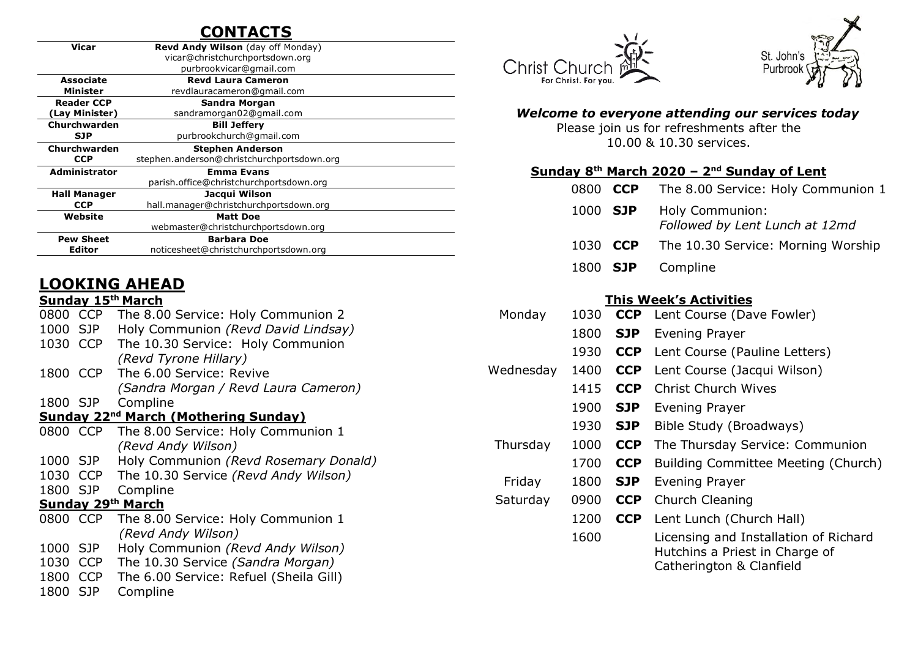### **CONTACTS**

| <b>Vicar</b>         | <b>Revd Andy Wilson</b> (day off Monday)   |
|----------------------|--------------------------------------------|
|                      | vicar@christchurchportsdown.org            |
|                      | purbrookvicar@gmail.com                    |
| Associate            | <b>Revd Laura Cameron</b>                  |
| Minister             | revdlauracameron@gmail.com                 |
| <b>Reader CCP</b>    | Sandra Morgan                              |
| (Lay Minister)       | sandramorgan02@gmail.com                   |
| Churchwarden         | <b>Bill Jeffery</b>                        |
| <b>SJP</b>           | purbrookchurch@gmail.com                   |
| Churchwarden         | <b>Stephen Anderson</b>                    |
| <b>CCP</b>           | stephen.anderson@christchurchportsdown.org |
| <b>Administrator</b> | <b>Emma Evans</b>                          |
|                      | parish.office@christchurchportsdown.org    |
| <b>Hall Manager</b>  | Jacqui Wilson                              |
| <b>CCP</b>           | hall.manager@christchurchportsdown.org     |
| Website              | <b>Matt Doe</b>                            |
|                      | webmaster@christchurchportsdown.org        |
| <b>Pew Sheet</b>     | <b>Barbara Doe</b>                         |
| Editor               | noticesheet@christchurchportsdown.org      |
|                      |                                            |

### **LOOKING AHEAD**

#### **Sunday 15th March**

| 0800                                                   | <b>CCP</b> | The 8.00 Service: Holy Communion 2     |  |  |  |  |  |  |
|--------------------------------------------------------|------------|----------------------------------------|--|--|--|--|--|--|
| 1000                                                   | <b>SJP</b> | Holy Communion (Revd David Lindsay)    |  |  |  |  |  |  |
| 1030                                                   | <b>CCP</b> | The 10.30 Service: Holy Communion      |  |  |  |  |  |  |
|                                                        |            | (Revd Tyrone Hillary)                  |  |  |  |  |  |  |
| 1800 CCP                                               |            | The 6.00 Service: Revive               |  |  |  |  |  |  |
|                                                        |            | (Sandra Morgan / Revd Laura Cameron)   |  |  |  |  |  |  |
| 1800 SJP                                               |            | Compline                               |  |  |  |  |  |  |
| <b>Sunday 22<sup>nd</sup> March (Mothering Sunday)</b> |            |                                        |  |  |  |  |  |  |
| 0800 CCP                                               |            | The 8.00 Service: Holy Communion 1     |  |  |  |  |  |  |
|                                                        |            | (Revd Andy Wilson)                     |  |  |  |  |  |  |
| 1000 SJP                                               |            | Holy Communion (Revd Rosemary Donald)  |  |  |  |  |  |  |
| 1030                                                   | <b>CCP</b> | The 10.30 Service (Revd Andy Wilson)   |  |  |  |  |  |  |
| 1800 SJP                                               |            | Compline                               |  |  |  |  |  |  |
| Sunday 29th March                                      |            |                                        |  |  |  |  |  |  |
| 0800 CCP                                               |            | The 8.00 Service: Holy Communion 1     |  |  |  |  |  |  |
|                                                        |            | (Revd Andy Wilson)                     |  |  |  |  |  |  |
| 1000                                                   | <b>SJP</b> | Holy Communion (Revd Andy Wilson)      |  |  |  |  |  |  |
| 1030                                                   | <b>CCP</b> | The 10.30 Service (Sandra Morgan)      |  |  |  |  |  |  |
| 1800                                                   | <b>CCP</b> | The 6.00 Service: Refuel (Sheila Gill) |  |  |  |  |  |  |
| 1800 SJP                                               |            | Compline                               |  |  |  |  |  |  |
|                                                        |            |                                        |  |  |  |  |  |  |





### *Welcome to everyone attending our services today*

Please join us for refreshments after the 10.00 & 10.30 services.

#### **Sunday 8 th March 2020 – 2 nd Sunday of Lent**

|  |          | 0800 CCP The 8.00 Service: Holy Communion 1       |
|--|----------|---------------------------------------------------|
|  | 1000 SJP | Holy Communion:<br>Followed by Lent Lunch at 12md |
|  |          | 1030 CCP The 10.30 Service: Morning Worship       |
|  |          | 1800 SJP Compline                                 |

#### **This Week's Activities**

| Monday    | 1030 | <b>CCP</b> | Lent Course (Dave Fowler)                                                                           |
|-----------|------|------------|-----------------------------------------------------------------------------------------------------|
|           | 1800 | <b>SJP</b> | Evening Prayer                                                                                      |
|           | 1930 | <b>CCP</b> | Lent Course (Pauline Letters)                                                                       |
| Wednesday | 1400 | <b>CCP</b> | Lent Course (Jacqui Wilson)                                                                         |
|           | 1415 | <b>CCP</b> | <b>Christ Church Wives</b>                                                                          |
|           | 1900 | <b>SJP</b> | Evening Prayer                                                                                      |
|           | 1930 | <b>SJP</b> | Bible Study (Broadways)                                                                             |
| Thursday  | 1000 | <b>CCP</b> | The Thursday Service: Communion                                                                     |
|           | 1700 | <b>CCP</b> | Building Committee Meeting (Church)                                                                 |
| Friday    | 1800 | <b>SJP</b> | Evening Prayer                                                                                      |
| Saturday  | 0900 | <b>CCP</b> | Church Cleaning                                                                                     |
|           | 1200 | <b>CCP</b> | Lent Lunch (Church Hall)                                                                            |
|           | 1600 |            | Licensing and Installation of Richard<br>Hutchins a Priest in Charge of<br>Catherington & Clanfield |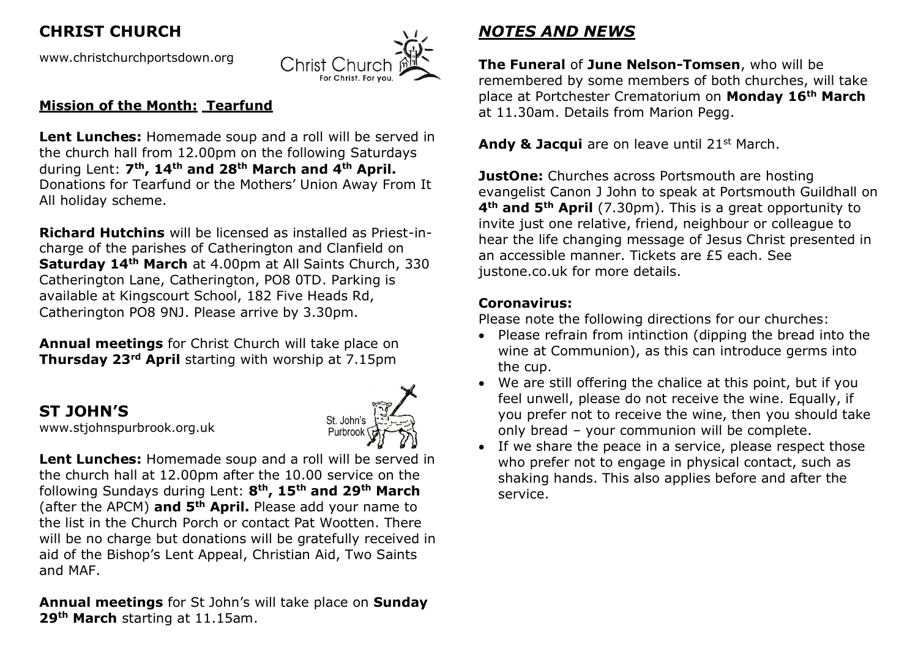## **CHRIST CHURCH**

[www.christchurchportsdown.org](http://www.christchurchportsdown.org/) 



#### **Mission of the Month: Tearfund**

Lent Lunches: Homemade soup and a roll will be served in the church hall from 12.00pm on the following Saturdays during Lent: **7th, 14th and 28th March and 4th April.**  Donations for Tearfund or the Mothers' Union Away From It All holiday scheme.

**Richard Hutchins** will be licensed as installed as Priest-incharge of the parishes of Catherington and Clanfield on **Saturday 14th March** at 4.00pm at All Saints Church, 330 Catherington Lane, Catherington, PO8 0TD. Parking is available at Kingscourt School, 182 Five Heads Rd, Catherington PO8 9NJ. Please arrive by 3.30pm.

**Annual meetings** for Christ Church will take place on **Thursday 23rd April** starting with worship at 7.15pm

# **ST JOHN'S**

[www.stjohnspurbrook.org.uk](http://www.stjohnspurbrook.org.uk/)



**Lent Lunches:** Homemade soup and a roll will be served in the church hall at 12.00pm after the 10.00 service on the following Sundays during Lent: **8th, 15th and 29th March** (after the APCM) **and 5th April.** Please add your name to the list in the Church Porch or contact Pat Wootten. There will be no charge but donations will be gratefully received in aid of the Bishop's Lent Appeal, Christian Aid, Two Saints and MAF.

**Annual meetings** for St John's will take place on **Sunday 29th March** starting at 11.15am.

# *NOTES AND NEWS*

**The Funeral** of **June Nelson-Tomsen**, who will be remembered by some members of both churches, will take place at Portchester Crematorium on **Monday 16th March** at 11.30am. Details from Marion Pegg.

Andy & Jacqui are on leave until 21<sup>st</sup> March.

**JustOne:** Churches across Portsmouth are hosting evangelist Canon J John to speak at Portsmouth Guildhall on **4th and 5th April** (7.30pm). This is a great opportunity to invite just one relative, friend, neighbour or colleague to hear the life changing message of Jesus Christ presented in an accessible manner. Tickets are £5 each. See justone.co.uk for more details.

### **Coronavirus:**

Please note the following directions for our churches:

- Please refrain from intinction (dipping the bread into the wine at Communion), as this can introduce germs into the cup.
- We are still offering the chalice at this point, but if you feel unwell, please do not receive the wine. Equally, if you prefer not to receive the wine, then you should take only bread – your communion will be complete.
- If we share the peace in a service, please respect those who prefer not to engage in physical contact, such as shaking hands. This also applies before and after the service.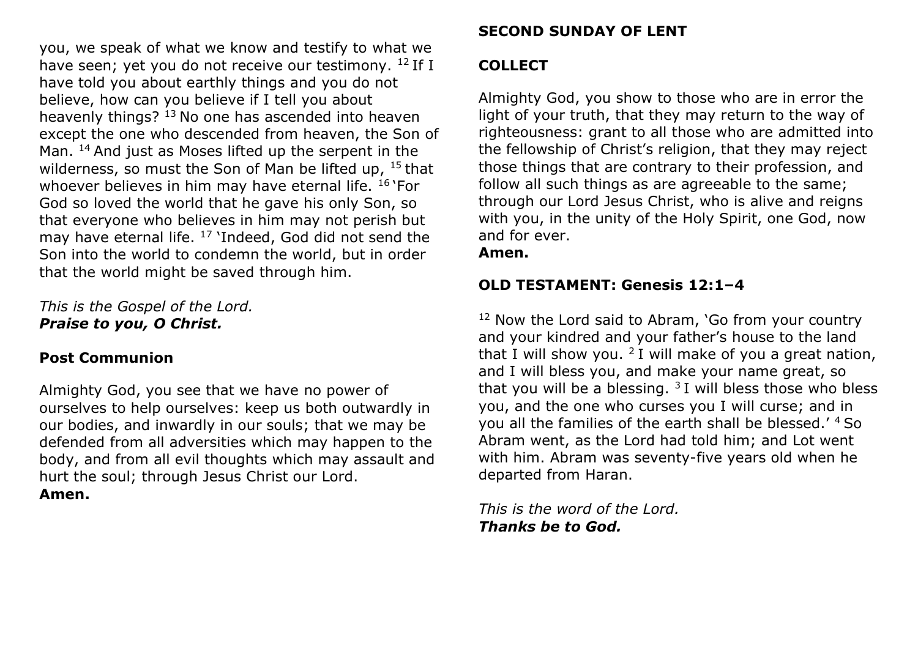you, we speak of what we know and testify to what we have seen; yet you do not receive our testimony.  $^{12}$  If I have told you about earthly things and you do not believe, how can you believe if I tell you about heavenly things?  $13$  No one has ascended into heaven except the one who descended from heaven, the Son of Man. <sup>14</sup> And just as Moses lifted up the serpent in the wilderness, so must the Son of Man be lifted up,  $15$  that whoever believes in him may have eternal life. <sup>16</sup> `For God so loved the world that he gave his only Son, so that everyone who believes in him may not perish but may have eternal life. <sup>17</sup> 'Indeed, God did not send the Son into the world to condemn the world, but in order that the world might be saved through him.

*This is the Gospel of the Lord. Praise to you, O Christ.*

### **Post Communion**

Almighty God, you see that we have no power of ourselves to help ourselves: keep us both outwardly in our bodies, and inwardly in our souls; that we may be defended from all adversities which may happen to the body, and from all evil thoughts which may assault and hurt the soul; through Jesus Christ our Lord. **Amen.**

### **SECOND SUNDAY OF LENT**

### **COLLECT**

Almighty God, you show to those who are in error the light of your truth, that they may return to the way of righteousness: grant to all those who are admitted into the fellowship of Christ's religion, that they may reject those things that are contrary to their profession, and follow all such things as are agreeable to the same; through our Lord Jesus Christ, who is alive and reigns with you, in the unity of the Holy Spirit, one God, now and for ever.

**Amen.**

### **OLD TESTAMENT: Genesis 12:1–4**

 $12$  Now the Lord said to Abram, 'Go from your country and your kindred and your father's house to the land that I will show you.  $2I$  will make of you a great nation, and I will bless you, and make your name great, so that you will be a blessing.  $3I$  will bless those who bless you, and the one who curses you I will curse; and in you all the families of the earth shall be blessed.' 4 So Abram went, as the Lord had told him; and Lot went with him. Abram was seventy-five years old when he departed from Haran.

*This is the word of the Lord. Thanks be to God.*